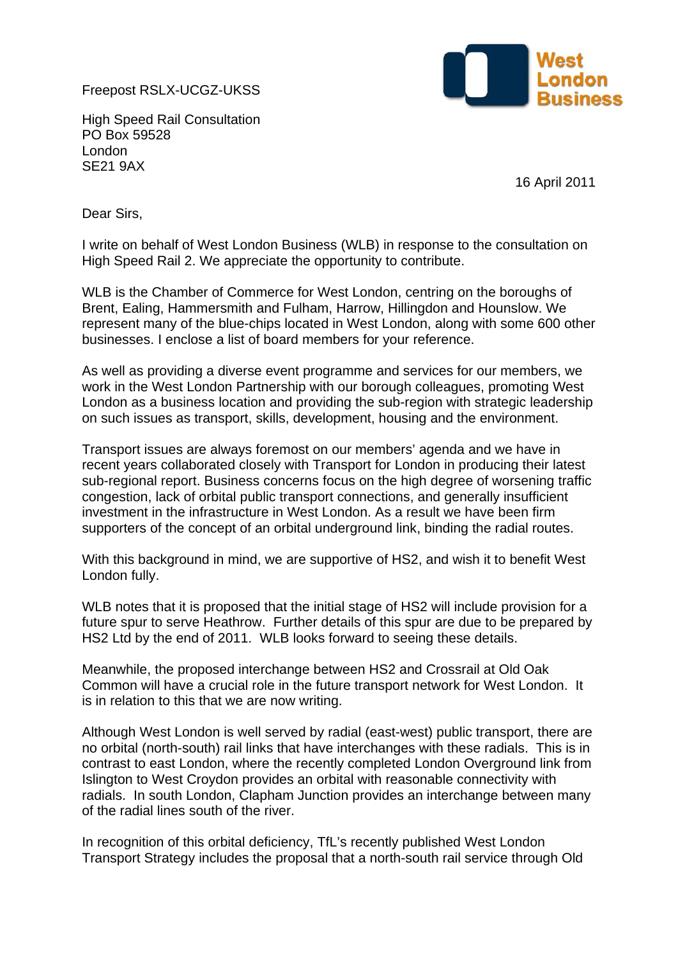Freepost RSLX-UCGZ-UKSS



High Speed Rail Consultation PO Box 59528 London SE21 9AX

16 April 2011

Dear Sirs,

I write on behalf of West London Business (WLB) in response to the consultation on High Speed Rail 2. We appreciate the opportunity to contribute.

WLB is the Chamber of Commerce for West London, centring on the boroughs of Brent, Ealing, Hammersmith and Fulham, Harrow, Hillingdon and Hounslow. We represent many of the blue-chips located in West London, along with some 600 other businesses. I enclose a list of board members for your reference.

As well as providing a diverse event programme and services for our members, we work in the West London Partnership with our borough colleagues, promoting West London as a business location and providing the sub-region with strategic leadership on such issues as transport, skills, development, housing and the environment.

Transport issues are always foremost on our members' agenda and we have in recent years collaborated closely with Transport for London in producing their latest sub-regional report. Business concerns focus on the high degree of worsening traffic congestion, lack of orbital public transport connections, and generally insufficient investment in the infrastructure in West London. As a result we have been firm supporters of the concept of an orbital underground link, binding the radial routes.

With this background in mind, we are supportive of HS2, and wish it to benefit West London fully.

WLB notes that it is proposed that the initial stage of HS2 will include provision for a future spur to serve Heathrow. Further details of this spur are due to be prepared by HS2 Ltd by the end of 2011. WLB looks forward to seeing these details.

Meanwhile, the proposed interchange between HS2 and Crossrail at Old Oak Common will have a crucial role in the future transport network for West London. It is in relation to this that we are now writing.

Although West London is well served by radial (east-west) public transport, there are no orbital (north-south) rail links that have interchanges with these radials. This is in contrast to east London, where the recently completed London Overground link from Islington to West Croydon provides an orbital with reasonable connectivity with radials. In south London, Clapham Junction provides an interchange between many of the radial lines south of the river.

In recognition of this orbital deficiency, TfL's recently published West London Transport Strategy includes the proposal that a north-south rail service through Old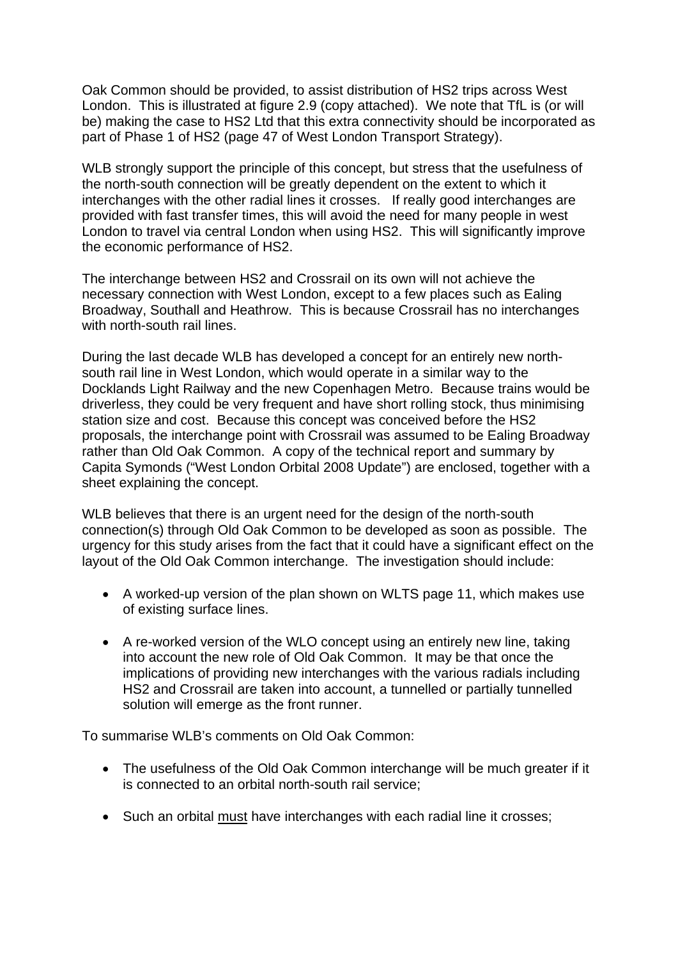Oak Common should be provided, to assist distribution of HS2 trips across West London. This is illustrated at figure 2.9 (copy attached). We note that TfL is (or will be) making the case to HS2 Ltd that this extra connectivity should be incorporated as part of Phase 1 of HS2 (page 47 of West London Transport Strategy).

WLB strongly support the principle of this concept, but stress that the usefulness of the north-south connection will be greatly dependent on the extent to which it interchanges with the other radial lines it crosses. If really good interchanges are provided with fast transfer times, this will avoid the need for many people in west London to travel via central London when using HS2. This will significantly improve the economic performance of HS2.

The interchange between HS2 and Crossrail on its own will not achieve the necessary connection with West London, except to a few places such as Ealing Broadway, Southall and Heathrow. This is because Crossrail has no interchanges with north-south rail lines.

During the last decade WLB has developed a concept for an entirely new northsouth rail line in West London, which would operate in a similar way to the Docklands Light Railway and the new Copenhagen Metro. Because trains would be driverless, they could be very frequent and have short rolling stock, thus minimising station size and cost. Because this concept was conceived before the HS2 proposals, the interchange point with Crossrail was assumed to be Ealing Broadway rather than Old Oak Common. A copy of the technical report and summary by Capita Symonds ("West London Orbital 2008 Update") are enclosed, together with a sheet explaining the concept.

WLB believes that there is an urgent need for the design of the north-south connection(s) through Old Oak Common to be developed as soon as possible. The urgency for this study arises from the fact that it could have a significant effect on the layout of the Old Oak Common interchange. The investigation should include:

- A worked-up version of the plan shown on WLTS page 11, which makes use of existing surface lines.
- A re-worked version of the WLO concept using an entirely new line, taking into account the new role of Old Oak Common. It may be that once the implications of providing new interchanges with the various radials including HS2 and Crossrail are taken into account, a tunnelled or partially tunnelled solution will emerge as the front runner.

To summarise WLB's comments on Old Oak Common:

- The usefulness of the Old Oak Common interchange will be much greater if it is connected to an orbital north-south rail service;
- Such an orbital must have interchanges with each radial line it crosses;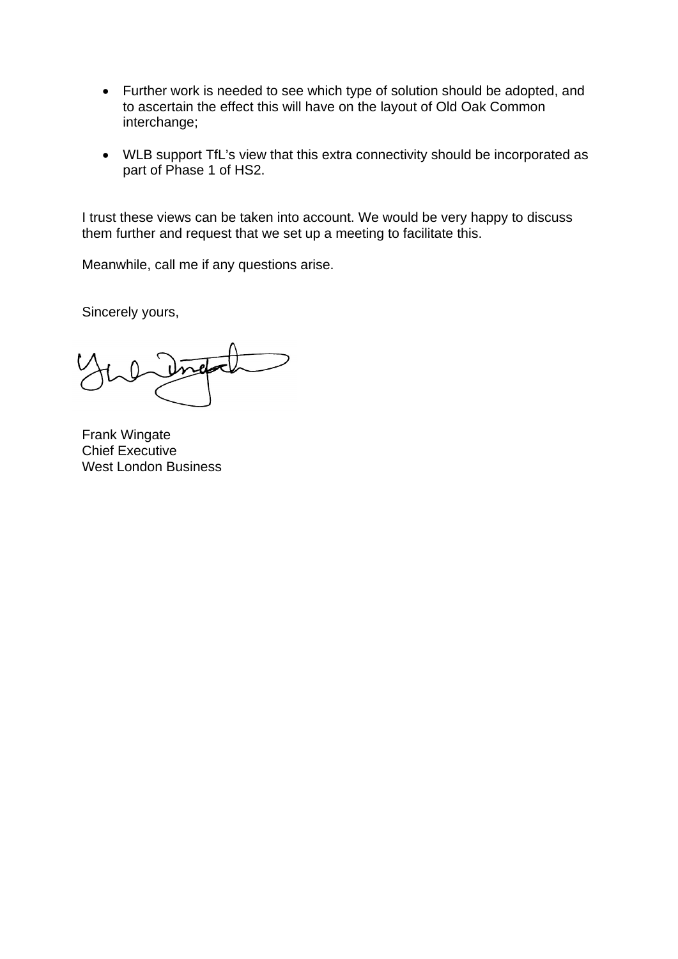- Further work is needed to see which type of solution should be adopted, and to ascertain the effect this will have on the layout of Old Oak Common interchange;
- WLB support TfL's view that this extra connectivity should be incorporated as part of Phase 1 of HS2.

I trust these views can be taken into account. We would be very happy to discuss them further and request that we set up a meeting to facilitate this.

Meanwhile, call me if any questions arise.

Sincerely yours,

Frank Wingate Chief Executive West London Business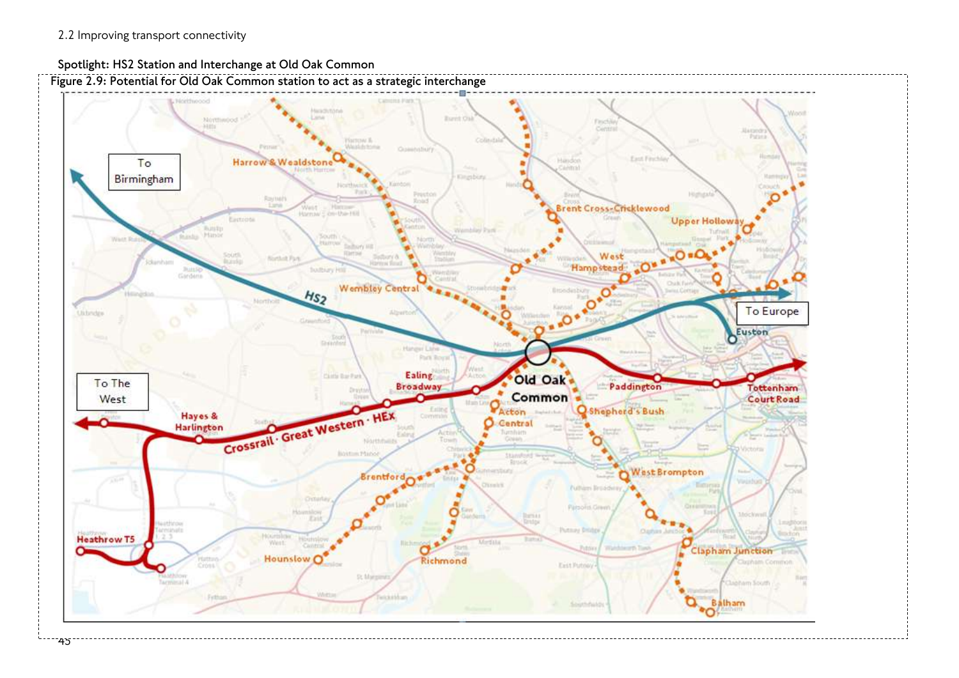

## **Spotlight: HS2 Station and Interchange at Old Oak Common**